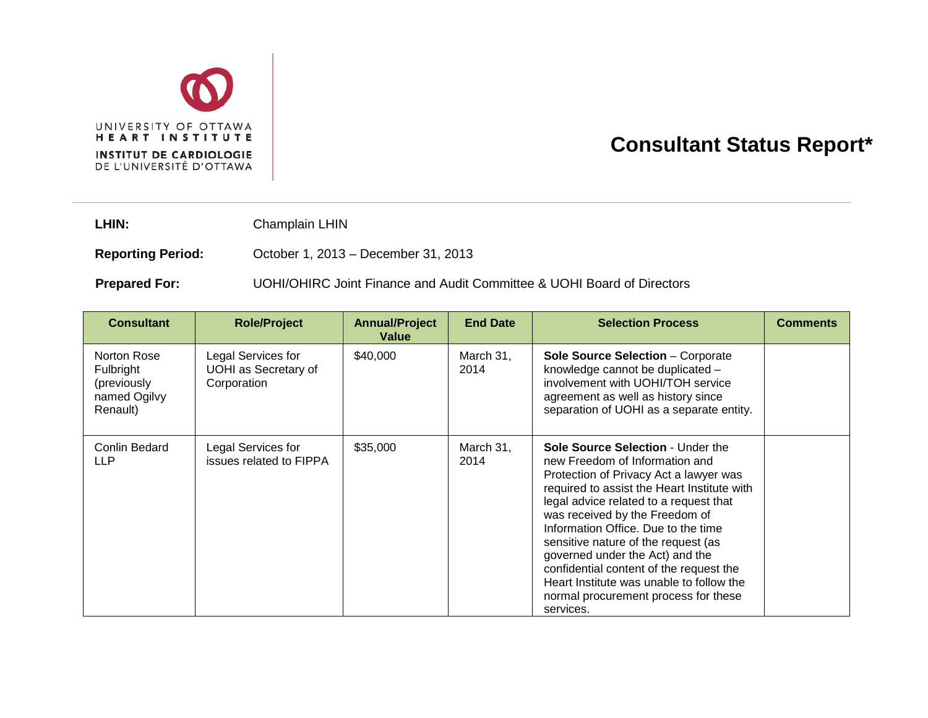

## **Consultant Status Report\***

LHIN: Champlain LHIN

**Reporting Period:** October 1, 2013 – December 31, 2013

**Prepared For:** UOHI/OHIRC Joint Finance and Audit Committee & UOHI Board of Directors

| <b>Consultant</b>                                                   | <b>Role/Project</b>                                       | <b>Annual/Project</b><br>Value | <b>End Date</b>   | <b>Selection Process</b>                                                                                                                                                                                                                                                                                                                                                                                                                                                                              | <b>Comments</b> |
|---------------------------------------------------------------------|-----------------------------------------------------------|--------------------------------|-------------------|-------------------------------------------------------------------------------------------------------------------------------------------------------------------------------------------------------------------------------------------------------------------------------------------------------------------------------------------------------------------------------------------------------------------------------------------------------------------------------------------------------|-----------------|
| Norton Rose<br>Fulbright<br>(previously<br>named Ogilvy<br>Renault) | Legal Services for<br>UOHI as Secretary of<br>Corporation | \$40,000                       | March 31,<br>2014 | <b>Sole Source Selection - Corporate</b><br>knowledge cannot be duplicated -<br>involvement with UOHI/TOH service<br>agreement as well as history since<br>separation of UOHI as a separate entity.                                                                                                                                                                                                                                                                                                   |                 |
| Conlin Bedard<br><b>LLP</b>                                         | Legal Services for<br>issues related to FIPPA             | \$35,000                       | March 31,<br>2014 | Sole Source Selection - Under the<br>new Freedom of Information and<br>Protection of Privacy Act a lawyer was<br>required to assist the Heart Institute with<br>legal advice related to a request that<br>was received by the Freedom of<br>Information Office. Due to the time<br>sensitive nature of the request (as<br>governed under the Act) and the<br>confidential content of the request the<br>Heart Institute was unable to follow the<br>normal procurement process for these<br>services. |                 |